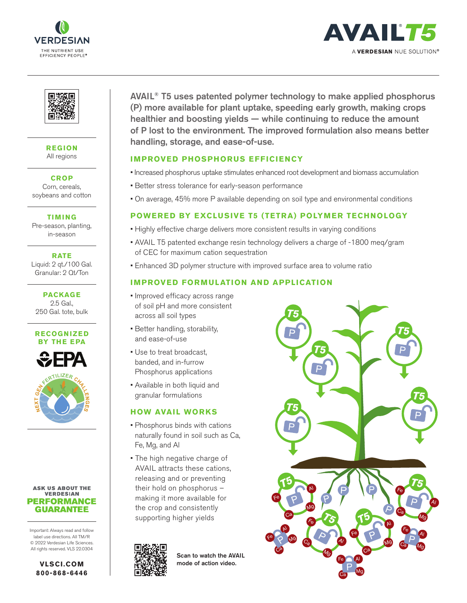





**REGION** All regions

**CROP** Corn, cereals, soybeans and cotton

**TIMING** Pre-season, planting,

in-season

**RATE** Liquid: 2 qt./100 Gal. Granular: 2 Qt/Ton

**PACKAGE** 2.5 Gal., 250 Gal. tote, bulk





#### **ASK US ABOUT THE VERDESIAN PERFORMANCE GUARANTEE**

Important: Always read and follow label use directions. All TM/R © 2022 Verdesian Life Sciences. All rights reserved. VLS 22.0304

> **VLSCI.COM 800-868-6446**

AVAIL® T5 uses patented polymer technology to make applied phosphorus (P) more available for plant uptake, speeding early growth, making crops healthier and boosting yields — while continuing to reduce the amount of P lost to the environment. The improved formulation also means better handling, storage, and ease-of-use.

## **IMPROVED PHOSPHORUS EFFICIENCY**

- Increased phosphorus uptake stimulates enhanced root development and biomass accumulation
- Better stress tolerance for early-season performance
- On average, 45% more P available depending on soil type and environmental conditions

# **POWERED BY EXCLUSIVE T5 (TETRA) POLYMER TECHNOLOGY**

- Highly effective charge delivers more consistent results in varying conditions
- AVAIL T5 patented exchange resin technology delivers a charge of -1800 meq/gram of CEC for maximum cation sequestration
- Enhanced 3D polymer structure with improved surface area to volume ratio

# **IMPROVED FORMULATION AND APPLICATION**

- Improved efficacy across range of soil pH and more consistent across all soil types
- Better handling, storability, and ease-of-use
- Use to treat broadcast, banded, and in-furrow Phosphorus applications
- Available in both liquid and granular formulations

## **HOW AVAIL WORKS**

- Phosphorus binds with cations naturally found in soil such as Ca, Fe, Mg, and Al
- The high negative charge of AVAIL attracts these cations, releasing and or preventing their hold on phosphorus – making it more available for the crop and consistently supporting higher yields



Scan to watch the AVAIL mode of action video.